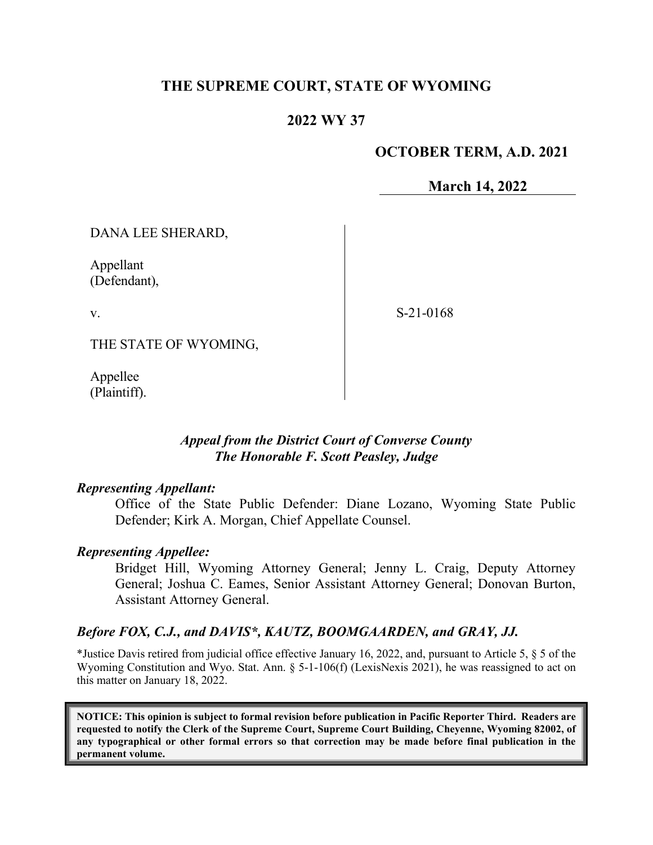# **THE SUPREME COURT, STATE OF WYOMING**

# **2022 WY 37**

# **OCTOBER TERM, A.D. 2021**

**March 14, 2022**

DANA LEE SHERARD,

Appellant (Defendant),

v.

S-21-0168

THE STATE OF WYOMING,

Appellee (Plaintiff).

## *Appeal from the District Court of Converse County The Honorable F. Scott Peasley, Judge*

### *Representing Appellant:*

Office of the State Public Defender: Diane Lozano, Wyoming State Public Defender; Kirk A. Morgan, Chief Appellate Counsel.

#### *Representing Appellee:*

Bridget Hill, Wyoming Attorney General; Jenny L. Craig, Deputy Attorney General; Joshua C. Eames, Senior Assistant Attorney General; Donovan Burton, Assistant Attorney General.

### *Before FOX, C.J., and DAVIS\*, KAUTZ, BOOMGAARDEN, and GRAY, JJ.*

\*Justice Davis retired from judicial office effective January 16, 2022, and, pursuant to Article 5, § 5 of the Wyoming Constitution and Wyo. Stat. Ann. § 5-1-106(f) (LexisNexis 2021), he was reassigned to act on this matter on January 18, 2022.

**NOTICE: This opinion is subject to formal revision before publication in Pacific Reporter Third. Readers are requested to notify the Clerk of the Supreme Court, Supreme Court Building, Cheyenne, Wyoming 82002, of any typographical or other formal errors so that correction may be made before final publication in the permanent volume.**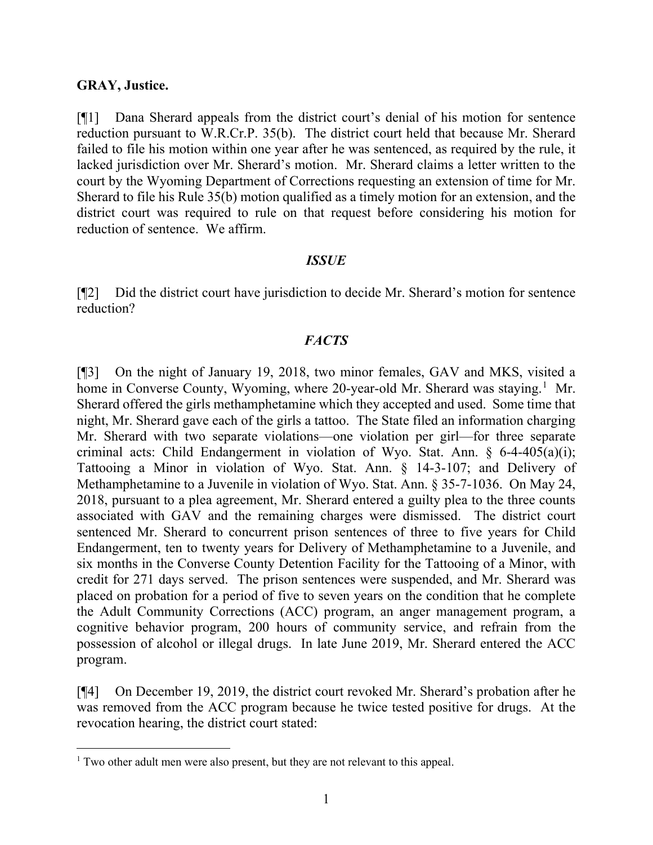#### **GRAY, Justice.**

[¶1] Dana Sherard appeals from the district court's denial of his motion for sentence reduction pursuant to W.R.Cr.P. 35(b). The district court held that because Mr. Sherard failed to file his motion within one year after he was sentenced, as required by the rule, it lacked jurisdiction over Mr. Sherard's motion. Mr. Sherard claims a letter written to the court by the Wyoming Department of Corrections requesting an extension of time for Mr. Sherard to file his Rule 35(b) motion qualified as a timely motion for an extension, and the district court was required to rule on that request before considering his motion for reduction of sentence. We affirm.

#### *ISSUE*

[¶2] Did the district court have jurisdiction to decide Mr. Sherard's motion for sentence reduction?

## *FACTS*

[¶3] On the night of January 19, 2018, two minor females, GAV and MKS, visited a home in Converse County, Wyoming, where 20-year-old Mr. Sherard was staying.<sup>[1](#page-1-0)</sup> Mr. Sherard offered the girls methamphetamine which they accepted and used. Some time that night, Mr. Sherard gave each of the girls a tattoo. The State filed an information charging Mr. Sherard with two separate violations—one violation per girl—for three separate criminal acts: Child Endangerment in violation of Wyo. Stat. Ann.  $\S$  6-4-405(a)(i); Tattooing a Minor in violation of Wyo. Stat. Ann. § 14-3-107; and Delivery of Methamphetamine to a Juvenile in violation of Wyo. Stat. Ann. § 35-7-1036. On May 24, 2018, pursuant to a plea agreement, Mr. Sherard entered a guilty plea to the three counts associated with GAV and the remaining charges were dismissed. The district court sentenced Mr. Sherard to concurrent prison sentences of three to five years for Child Endangerment, ten to twenty years for Delivery of Methamphetamine to a Juvenile, and six months in the Converse County Detention Facility for the Tattooing of a Minor, with credit for 271 days served. The prison sentences were suspended, and Mr. Sherard was placed on probation for a period of five to seven years on the condition that he complete the Adult Community Corrections (ACC) program, an anger management program, a cognitive behavior program, 200 hours of community service, and refrain from the possession of alcohol or illegal drugs. In late June 2019, Mr. Sherard entered the ACC program.

[¶4] On December 19, 2019, the district court revoked Mr. Sherard's probation after he was removed from the ACC program because he twice tested positive for drugs. At the revocation hearing, the district court stated:

<span id="page-1-0"></span><sup>&</sup>lt;sup>1</sup> Two other adult men were also present, but they are not relevant to this appeal.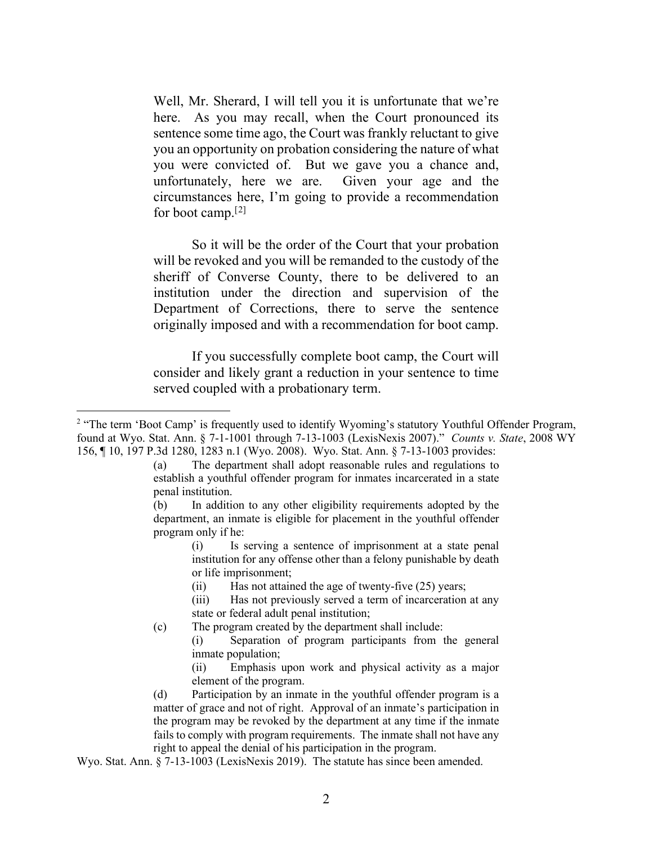Well, Mr. Sherard, I will tell you it is unfortunate that we're here. As you may recall, when the Court pronounced its sentence some time ago, the Court was frankly reluctant to give you an opportunity on probation considering the nature of what you were convicted of. But we gave you a chance and, unfortunately, here we are. Given your age and the circumstances here, I'm going to provide a recommendation for boot camp.[[2\]](#page-2-0)

So it will be the order of the Court that your probation will be revoked and you will be remanded to the custody of the sheriff of Converse County, there to be delivered to an institution under the direction and supervision of the Department of Corrections, there to serve the sentence originally imposed and with a recommendation for boot camp.

If you successfully complete boot camp, the Court will consider and likely grant a reduction in your sentence to time served coupled with a probationary term.

(i) Is serving a sentence of imprisonment at a state penal institution for any offense other than a felony punishable by death or life imprisonment;

(ii) Has not attained the age of twenty-five (25) years;

(iii) Has not previously served a term of incarceration at any state or federal adult penal institution;

- (c) The program created by the department shall include:
	- (i) Separation of program participants from the general inmate population;

(ii) Emphasis upon work and physical activity as a major element of the program.

(d) Participation by an inmate in the youthful offender program is a matter of grace and not of right. Approval of an inmate's participation in the program may be revoked by the department at any time if the inmate fails to comply with program requirements. The inmate shall not have any right to appeal the denial of his participation in the program.

Wyo. Stat. Ann. § 7-13-1003 (LexisNexis 2019). The statute has since been amended.

<span id="page-2-0"></span><sup>&</sup>lt;sup>2</sup> "The term 'Boot Camp' is frequently used to identify Wyoming's statutory Youthful Offender Program, found at Wyo. Stat. Ann. § 7-1-1001 through 7-13-1003 (LexisNexis 2007)." *Counts v. State*, 2008 WY 156, ¶ 10, 197 P.3d 1280, 1283 n.1 (Wyo. 2008). Wyo. Stat. Ann. § 7-13-1003 provides:

<sup>(</sup>a) The department shall adopt reasonable rules and regulations to establish a youthful offender program for inmates incarcerated in a state penal institution.

<sup>(</sup>b) In addition to any other eligibility requirements adopted by the department, an inmate is eligible for placement in the youthful offender program only if he: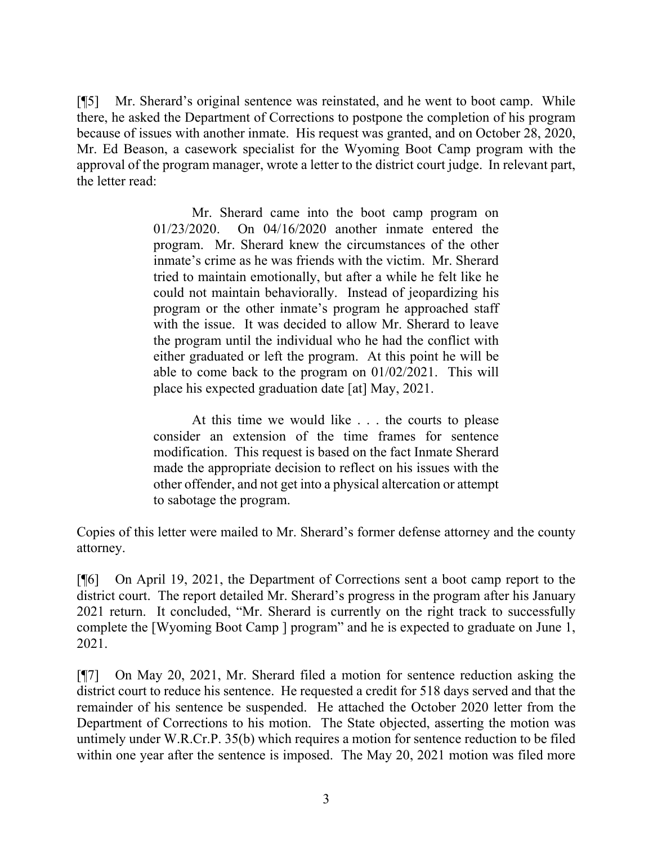[¶5] Mr. Sherard's original sentence was reinstated, and he went to boot camp. While there, he asked the Department of Corrections to postpone the completion of his program because of issues with another inmate. His request was granted, and on October 28, 2020, Mr. Ed Beason, a casework specialist for the Wyoming Boot Camp program with the approval of the program manager, wrote a letter to the district court judge. In relevant part, the letter read:

> Mr. Sherard came into the boot camp program on 01/23/2020. On 04/16/2020 another inmate entered the program. Mr. Sherard knew the circumstances of the other inmate's crime as he was friends with the victim. Mr. Sherard tried to maintain emotionally, but after a while he felt like he could not maintain behaviorally. Instead of jeopardizing his program or the other inmate's program he approached staff with the issue. It was decided to allow Mr. Sherard to leave the program until the individual who he had the conflict with either graduated or left the program. At this point he will be able to come back to the program on 01/02/2021. This will place his expected graduation date [at] May, 2021.

> At this time we would like . . . the courts to please consider an extension of the time frames for sentence modification. This request is based on the fact Inmate Sherard made the appropriate decision to reflect on his issues with the other offender, and not get into a physical altercation or attempt to sabotage the program.

Copies of this letter were mailed to Mr. Sherard's former defense attorney and the county attorney.

[¶6] On April 19, 2021, the Department of Corrections sent a boot camp report to the district court. The report detailed Mr. Sherard's progress in the program after his January 2021 return. It concluded, "Mr. Sherard is currently on the right track to successfully complete the [Wyoming Boot Camp ] program" and he is expected to graduate on June 1, 2021.

[¶7] On May 20, 2021, Mr. Sherard filed a motion for sentence reduction asking the district court to reduce his sentence. He requested a credit for 518 days served and that the remainder of his sentence be suspended. He attached the October 2020 letter from the Department of Corrections to his motion. The State objected, asserting the motion was untimely under W.R.Cr.P. 35(b) which requires a motion for sentence reduction to be filed within one year after the sentence is imposed. The May 20, 2021 motion was filed more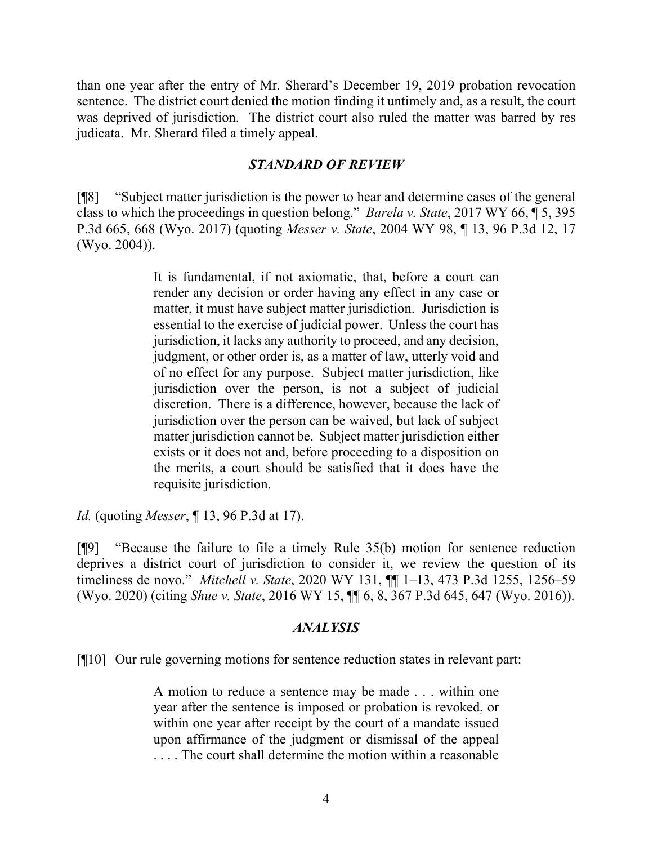than one year after the entry of Mr. Sherard's December 19, 2019 probation revocation sentence. The district court denied the motion finding it untimely and, as a result, the court was deprived of jurisdiction. The district court also ruled the matter was barred by res judicata. Mr. Sherard filed a timely appeal.

## *STANDARD OF REVIEW*

[¶8] "Subject matter jurisdiction is the power to hear and determine cases of the general class to which the proceedings in question belong." *Barela v. State*, 2017 WY 66, ¶ 5, 395 P.3d 665, 668 (Wyo. 2017) (quoting *Messer v. State*, 2004 WY 98, ¶ 13, 96 P.3d 12, 17 (Wyo. 2004)).

> It is fundamental, if not axiomatic, that, before a court can render any decision or order having any effect in any case or matter, it must have subject matter jurisdiction. Jurisdiction is essential to the exercise of judicial power. Unless the court has jurisdiction, it lacks any authority to proceed, and any decision, judgment, or other order is, as a matter of law, utterly void and of no effect for any purpose. Subject matter jurisdiction, like jurisdiction over the person, is not a subject of judicial discretion. There is a difference, however, because the lack of jurisdiction over the person can be waived, but lack of subject matter jurisdiction cannot be. Subject matter jurisdiction either exists or it does not and, before proceeding to a disposition on the merits, a court should be satisfied that it does have the requisite jurisdiction.

*Id.* (quoting *Messer*, ¶ 13, 96 P.3d at 17).

[¶9] "Because the failure to file a timely Rule 35(b) motion for sentence reduction deprives a district court of jurisdiction to consider it, we review the question of its timeliness de novo." *Mitchell v. State*, 2020 WY 131, ¶¶ 1–13, 473 P.3d 1255, 1256–59 (Wyo. 2020) (citing *Shue v. State*, 2016 WY 15, ¶¶ 6, 8, 367 P.3d 645, 647 (Wyo. 2016)).

### *ANALYSIS*

[¶10] Our rule governing motions for sentence reduction states in relevant part:

A motion to reduce a sentence may be made . . . within one year after the sentence is imposed or probation is revoked, or within one year after receipt by the court of a mandate issued upon affirmance of the judgment or dismissal of the appeal . . . . The court shall determine the motion within a reasonable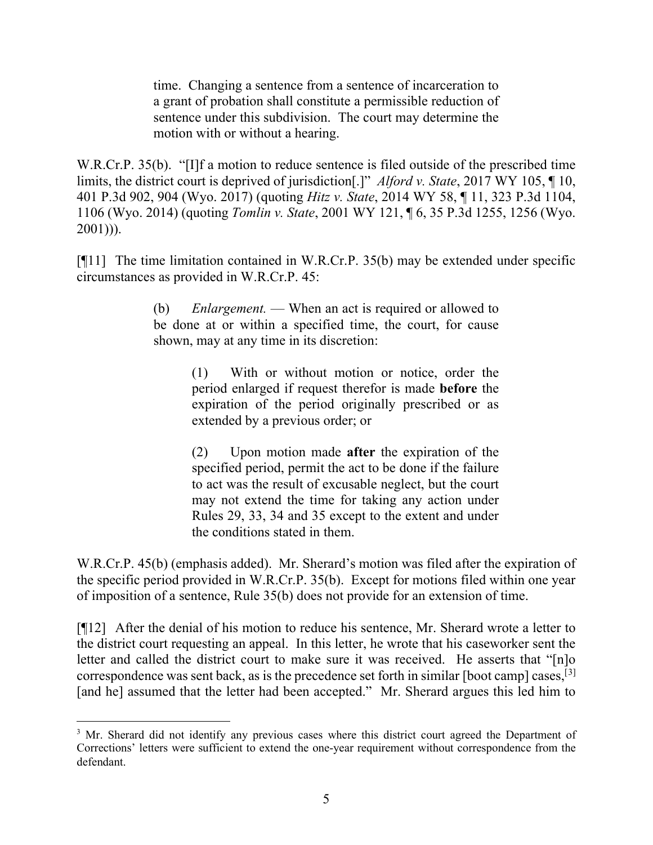time. Changing a sentence from a sentence of incarceration to a grant of probation shall constitute a permissible reduction of sentence under this subdivision. The court may determine the motion with or without a hearing.

W.R.Cr.P. 35(b). "[I]f a motion to reduce sentence is filed outside of the prescribed time limits, the district court is deprived of jurisdiction[.]" *Alford v. State*, 2017 WY 105, ¶ 10, 401 P.3d 902, 904 (Wyo. 2017) (quoting *Hitz v. State*, 2014 WY 58, ¶ 11, 323 P.3d 1104, 1106 (Wyo. 2014) (quoting *Tomlin v. State*, 2001 WY 121, ¶ 6, 35 P.3d 1255, 1256 (Wyo.  $2001$ ))).

[¶11] The time limitation contained in W.R.Cr.P. 35(b) may be extended under specific circumstances as provided in W.R.Cr.P. 45:

> (b) *Enlargement.* — When an act is required or allowed to be done at or within a specified time, the court, for cause shown, may at any time in its discretion:

> > (1) With or without motion or notice, order the period enlarged if request therefor is made **before** the expiration of the period originally prescribed or as extended by a previous order; or

> > (2) Upon motion made **after** the expiration of the specified period, permit the act to be done if the failure to act was the result of excusable neglect, but the court may not extend the time for taking any action under Rules 29, 33, 34 and 35 except to the extent and under the conditions stated in them.

W.R.Cr.P. 45(b) (emphasis added). Mr. Sherard's motion was filed after the expiration of the specific period provided in W.R.Cr.P. 35(b). Except for motions filed within one year of imposition of a sentence, Rule 35(b) does not provide for an extension of time.

[¶12] After the denial of his motion to reduce his sentence, Mr. Sherard wrote a letter to the district court requesting an appeal. In this letter, he wrote that his caseworker sent the letter and called the district court to make sure it was received. He asserts that "[n]o correspondence was sent back, as is the precedence set forth in similar [boot camp] cases,  $^{[3]}$  $^{[3]}$  $^{[3]}$ [and he] assumed that the letter had been accepted." Mr. Sherard argues this led him to

<span id="page-5-0"></span><sup>&</sup>lt;sup>3</sup> Mr. Sherard did not identify any previous cases where this district court agreed the Department of Corrections' letters were sufficient to extend the one-year requirement without correspondence from the defendant.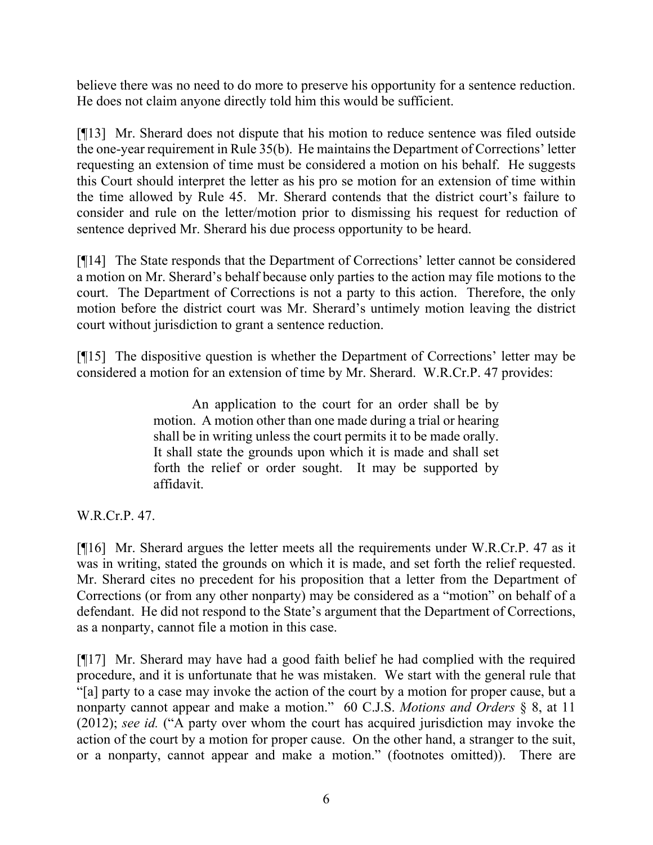believe there was no need to do more to preserve his opportunity for a sentence reduction. He does not claim anyone directly told him this would be sufficient.

[¶13] Mr. Sherard does not dispute that his motion to reduce sentence was filed outside the one-year requirement in Rule 35(b). He maintains the Department of Corrections' letter requesting an extension of time must be considered a motion on his behalf. He suggests this Court should interpret the letter as his pro se motion for an extension of time within the time allowed by Rule 45. Mr. Sherard contends that the district court's failure to consider and rule on the letter/motion prior to dismissing his request for reduction of sentence deprived Mr. Sherard his due process opportunity to be heard.

[¶14] The State responds that the Department of Corrections' letter cannot be considered a motion on Mr. Sherard's behalf because only parties to the action may file motions to the court. The Department of Corrections is not a party to this action. Therefore, the only motion before the district court was Mr. Sherard's untimely motion leaving the district court without jurisdiction to grant a sentence reduction.

[¶15] The dispositive question is whether the Department of Corrections' letter may be considered a motion for an extension of time by Mr. Sherard. W.R.Cr.P. 47 provides:

> An application to the court for an order shall be by motion. A motion other than one made during a trial or hearing shall be in writing unless the court permits it to be made orally. It shall state the grounds upon which it is made and shall set forth the relief or order sought. It may be supported by affidavit.

W.R.Cr.P. 47.

[¶16] Mr. Sherard argues the letter meets all the requirements under W.R.Cr.P. 47 as it was in writing, stated the grounds on which it is made, and set forth the relief requested. Mr. Sherard cites no precedent for his proposition that a letter from the Department of Corrections (or from any other nonparty) may be considered as a "motion" on behalf of a defendant. He did not respond to the State's argument that the Department of Corrections, as a nonparty, cannot file a motion in this case.

[¶17] Mr. Sherard may have had a good faith belief he had complied with the required procedure, and it is unfortunate that he was mistaken. We start with the general rule that "[a] party to a case may invoke the action of the court by a motion for proper cause, but a nonparty cannot appear and make a motion."60 C.J.S. *Motions and Orders* § 8, at 11 (2012); *see id.* ("A party over whom the court has acquired jurisdiction may invoke the action of the court by a motion for proper cause. On the other hand, a stranger to the suit, or a nonparty, cannot appear and make a motion." (footnotes omitted)). There are